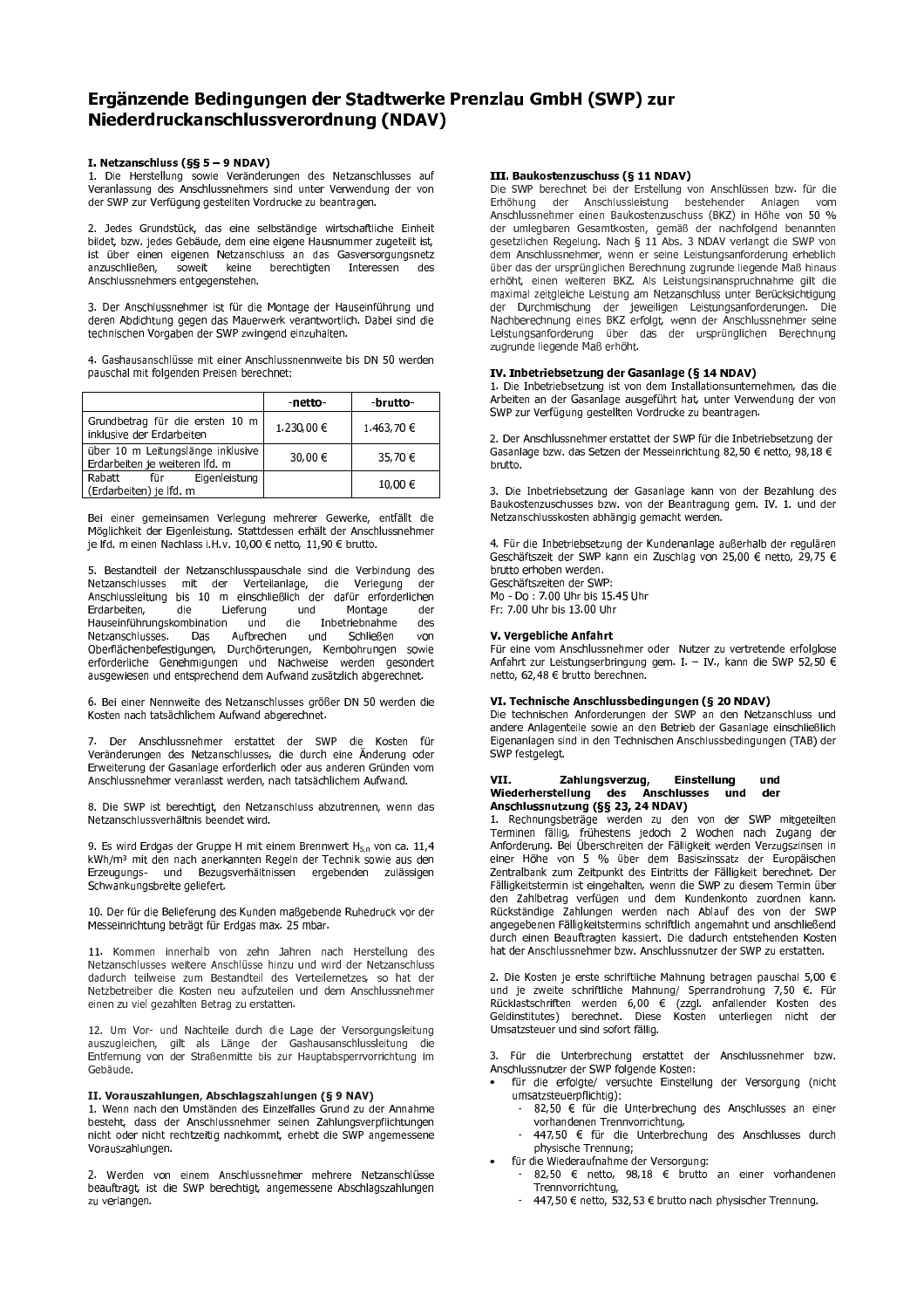# Ergänzende Bedingungen der Stadtwerke Prenzlau GmbH (SWP) zur Niederdruckanschlussverordnung (NDAV)

# I. Netzanschluss (§§ 5 - 9 NDAV)

1. Die Herstellung sowie Veränderungen des Netzanschlusses auf<br>Veranlassung des Anschlussnehmers sind unter Verwendung der von der SWP zur Verfügung gestellten Vordrucke zu beantragen.

2. Jedes Grundstück, das eine selbständige wirtschaftliche Einheit bildet, bzw. jedes Gebäude, dem eine eigene Hausnummer zugeteilt ist, ist über einen eigenen Netzanschluss an das Gasversorgungsnetz<br>anzuschließen, soweit keine berechtigten Interessen des berechtigten Anschlussnehmers entgegenstehen.

3. Der Anschlussnehmer ist für die Montage der Hauseinführung und deren Abdichtung gegen das Mauerwerk verantwortlich. Dabei sind die technischen Vorgaben der SWP zwingend einzuhalten.

4. Gashausanschlüsse mit einer Anschlussnennweite bis DN 50 werden pauschal mit folgenden Preisen berechnet:

|                                                                     | -netto-    | -brutto-   |
|---------------------------------------------------------------------|------------|------------|
| Grundbetrag für die ersten 10 m<br>inklusive der Erdarbeiten        | 1.230,00 € | 1.463,70 € |
| uber 10 m Leitungslänge inklusive<br>Erdarbeiten je weiteren lfd. m | 30,00 €    | 35,70 €    |
| l Rabatt<br>Eigenleistung<br>für<br>(Erdarbeiten) je Ifd. m         |            | 10,00 €    |

Bei einer gemeinsamen Verlegung mehrerer Gewerke, entfällt die Möglichkeit der Eigenleistung. Stattdessen erhält der Anschlussnehmer je lfd. m einen Nachlass i.H.v. 10,00 € netto, 11,90 € brutto.

5. Bestandteil der Netzanschlusspauschale sind die Verbindung des Netzanschlusses mit der Verteilanlage, die Verlegung der Anschlussleitung bis 10 m einschließlich der dafür erforderlichen Erdarbeiten, die Lieferung und Montage der Hauseinführungskombination und die Inbetriebnahme des Netzanschlusses. Das Aufbrechen und Schließen von Oberflächenbefestigungen, Durchörterungen, Kernbohrungen sowie erforderliche Genehmigungen und Nachweise werden gesondert ausgewiesen und entsprechend dem Aufwand zusätzlich abgerechnet.

6. Bei einer Nennweite des Netzanschlusses größer DN 50 werden die Kosten nach tatsächlichem Aufwand abgerechnet.

7. Der Anschlussnehmer erstattet der SWP die Kosten für Veränderungen des Netzanschlusses, die durch eine Änderung oder Erweiterung der Gasanlage erforderlich oder aus anderen Gründen vom Anschlussnehmer veranlasst werden, nach tatsächlichem Aufwand.

8. Die SWP ist berechtigt, den Netzanschluss abzutrennen, wenn das Netzanschlussverhältnis beendet wird.

9. Es wird Erdgas der Gruppe H mit einem Brennwert  $H_{S,n}$  von ca. 11,4 kWh/m<sup>3</sup> mit den nach anerkannten Regeln der Technik sowie aus den Erzeugungs- und Bezugsverhältnissen ergebenden zulässigen Schwankungsbreite geliefert.

10. Der für die Belieferung des Kunden maßgebende Ruhedruck vor der Messeinrichtung beträgt für Erdgas max. 25 mbar.

11. Kommen innerhalb von zehn Jahren nach Herstellung des Netzanschlusses weitere Anschlüsse hinzu und wird der Netzanschluss dadurch teilweise zum Bestandteil des Verteilernetzes, so hat der Netzbetreiber die Kosten neu aufzuteilen und dem Anschlussnehmer einen zu viel gezahlten Betrag zu erstatten.

12. Um Vor- und Nachteile durch die Lage der Versorgungsleitung auszugleichen, gilt als Länge der Gashausanschlussleitung die Entfernung von der Straßenmitte bis zur Hauptabsperrvorrichtung im Gebäude.

# II. Vorauszahlungen, Abschlagszahlungen (§ 9 NAV)

1. Wenn nach den Umständen des Einzelfalles Grund zu der Annahme besteht, dass der Anschlussnehmer seinen Zahlungsverpflichtungen nicht oder nicht rechtzeitig nachkommt, erhebt die SWP angemessene Vorauszahlungen.

2. Werden von einem Anschlussnehmer mehrere Netzanschlüsse beauftragt, ist die SWP berechtigt, angemessene Abschlagszahlungen zu verlangen.

## III. Baukostenzuschuss (§ 11 NDAV)

Die SWP berechnet bei der Erstellung von Anschlüssen bzw. für die der Anschlussleistung ۔<br>bestehender Erhöhung Anlagen vom Anschlussnehmer einen Baukostenzuschuss (BKZ) in Höhe von 50 % der umlegbaren Gesamtkosten, gemäß der nachfolgend benannten gesetzlichen Regelung. Nach § 11 Abs. 3 NDAV verlangt die SWP von dem Anschlussnehmer, wenn er seine Leistungsanforderung erheblich<br>über das der ursprünglichen Berechnung zugrunde liegende Maß hinaus erhöht, einen weiteren BKZ. Als Leistungsinanspruchnahme gilt die maximal zeitgleiche Leistung am Netzanschluss unter Berücksichtigung namen zusgeicher Europa der Durchmischung der Deutscheitung der Durchmischung der jeweiligen Leistungsanforderungen. Die Nachberechnung eines BKZ erfolgt, wenn der Anschlussnehmer seine Leistungsanforderung über das der ur

### IV. Inbetriebsetzung der Gasanlage (§ 14 NDAV)

1. Die Inbetriebsetzung ist von dem Installationsunternehmen, das die Arbeiten an der Gasanlage ausgeführt hat, unter Verwendung der von SWP zur Verfügung gestellten Vordrucke zu beantragen.

2. Der Anschlussnehmer erstattet der SWP für die Inbetriebsetzung der Gasanlage bzw. das Setzen der Messeinrichtung 82,50 € netto, 98,18 € brutto.

3. Die Inbetriebsetzung der Gasanlage kann von der Bezahlung des Baukostenzuschusses bzw. von der Beantragung gem. IV. 1. und der Netzanschlusskosten abhängig gemacht werden.

4. Für die Inbetriebsetzung der Kundenanlage außerhalb der regulären Geschäftszeit der SWP kann ein Zuschlag von 25,00 € netto, 29,75 € brutto erhoben werden.

Geschäftszeiten der SWP: Mo - Do : 7.00 Uhr bis 15.45 Uhr<br>Fr: 7.00 Uhr bis 13.00 Uhr

### V. Vergebliche Anfahrt

Für eine vom Anschlussnehmer oder Nutzer zu vertretende erfolglose Anfahrt zur Leistungserbringung gem. I. - IV., kann die SWP 52,50 € netto, 62,48 € brutto berechnen.

# VI. Technische Anschlussbedingungen (§ 20 NDAV)

Die technischen Anforderungen der SWP an den Netzanschluss und andere Anlagenteile sowie an den Betrieb der Gasanlage einschließlich Eigenanlagen sind in den Technischen Anschlussbedingungen (TAB) der SWP festgelegt.

#### VII. Einstellung Zahlungsverzug, und Wiederherstellung des Anschlusses und<br>Anschlussnutzung (§§ 23, 24 NDAV) der

1. Rechnungsbeträge werden zu den von der SWP mitgeteilten Terminen fällig, frühestens i edoch 2 Wochen nach Zugang der<br>Anforderung. Bei Überschreiten der Fälligkeit werden Verzugszinsen in einer Höhe von 5 % über dem Basiszinssatz der Europäischen Zentralbank zum Zeitpunkt des Eintritts der Fälligkeit berechnet. Der Fälligkeitstermin ist eingehalten, wenn die SWP zu diesem Termin über Zahlbetrag verfügen und dem Kundenkonto zuordnen kann. Rückständige Zahlungen werden nach Ablauf des von der SWP angegebenen Fälligkeitstermins schriftlich angemahnt und anschließend durch einen Beauftragten kassiert. Die dadurch entstehenden Kosten hat der Anschlussnehmer bzw. Anschlussnutzer der SWP zu erstatten.

2. Die Kosten je erste schriftliche Mahnung betragen pauschal 5,00 € und je zweite schriftliche Mahnung/ Sperrandrohung 7,50 €. Für Rücklastschriften werden 6,00 € (zzgl. anfallender Kosten des<br>Geldinstitutes) berechnet. Diese Kosten unterliegen nicht der Umsatzsteuer und sind sofort fällig.

3. Für die Unterbrechung erstattet der Anschlussnehmer bzw. Anschlussnutzer der SWP folgende Kosten:

- für die erfolgte/ versuchte Einstellung der Versorgung (nicht umsatzsteuerpflichtig):
- 82,50 € für die Unterbrechung des Anschlusses an einer vorhandenen Trennvorrichtung,
- 447,50 € für die Unterbrechung des Anschlusses durch physische Trennung;
- für die Wiederaufnahme der Versorgung:
	- 82,50 € netto, 98,18 € brutto an einer vorhandenen Trennvorrichtung
	- 447,50 € netto, 532,53 € brutto nach physischer Trennung.